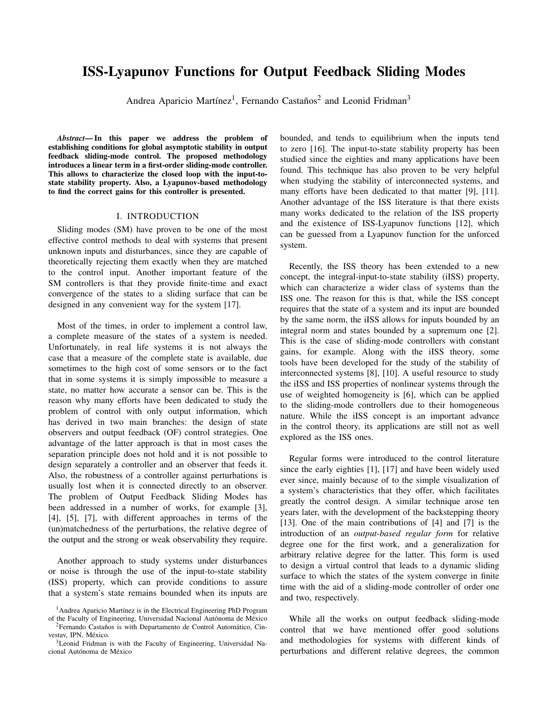# ISS-Lyapunov Functions for Output Feedback Sliding Modes

Andrea Aparicio Martínez<sup>1</sup>, Fernando Castaños<sup>2</sup> and Leonid Fridman<sup>3</sup>

*Abstract*— In this paper we address the problem of establishing conditions for global asymptotic stability in output feedback sliding-mode control. The proposed methodology introduces a linear term in a first-order sliding-mode controller. This allows to characterize the closed loop with the input-tostate stability property. Also, a Lyapunov-based methodology to find the correct gains for this controller is presented.

## I. INTRODUCTION

Sliding modes (SM) have proven to be one of the most effective control methods to deal with systems that present unknown inputs and disturbances, since they are capable of theoretically rejecting them exactly when they are matched to the control input. Another important feature of the SM controllers is that they provide finite-time and exact convergence of the states to a sliding surface that can be designed in any convenient way for the system [17].

Most of the times, in order to implement a control law, a complete measure of the states of a system is needed. Unfortunately, in real life systems it is not always the case that a measure of the complete state is available, due sometimes to the high cost of some sensors or to the fact that in some systems it is simply impossible to measure a state, no matter how accurate a sensor can be. This is the reason why many efforts have been dedicated to study the problem of control with only output information, which has derived in two main branches: the design of state observers and output feedback (OF) control strategies. One advantage of the latter approach is that in most cases the separation principle does not hold and it is not possible to design separately a controller and an observer that feeds it. Also, the robustness of a controller against perturbations is usually lost when it is connected directly to an observer. The problem of Output Feedback Sliding Modes has been addressed in a number of works, for example [3], [4], [5], [7], with different approaches in terms of the (un)matchedness of the perturbations, the relative degree of the output and the strong or weak observability they require.

Another approach to study systems under disturbances or noise is through the use of the input-to-state stability (ISS) property, which can provide conditions to assure that a system's state remains bounded when its inputs are bounded, and tends to equilibrium when the inputs tend to zero [16]. The input-to-state stability property has been studied since the eighties and many applications have been found. This technique has also proven to be very helpful when studying the stability of interconnected systems, and many efforts have been dedicated to that matter [9], [11]. Another advantage of the ISS literature is that there exists many works dedicated to the relation of the ISS property and the existence of ISS-Lyapunov functions [12], which can be guessed from a Lyapunov function for the unforced system.

Recently, the ISS theory has been extended to a new concept, the integral-input-to-state stability (iISS) property, which can characterize a wider class of systems than the ISS one. The reason for this is that, while the ISS concept requires that the state of a system and its input are bounded by the same norm, the iISS allows for inputs bounded by an integral norm and states bounded by a supremum one [2]. This is the case of sliding-mode controllers with constant gains, for example. Along with the iISS theory, some tools have been developed for the study of the stability of interconnected systems [8], [10]. A useful resource to study the iISS and ISS properties of nonlinear systems through the use of weighted homogeneity is [6], which can be applied to the sliding-mode controllers due to their homogeneous nature. While the iISS concept is an important advance in the control theory, its applications are still not as well explored as the ISS ones.

Regular forms were introduced to the control literature since the early eighties [1], [17] and have been widely used ever since, mainly because of to the simple visualization of a system's characteristics that they offer, which facilitates greatly the control design. A similar technique arose ten years later, with the development of the backstepping theory [13]. One of the main contributions of [4] and [7] is the introduction of an *output-based regular form* for relative degree one for the first work, and a generalization for arbitrary relative degree for the latter. This form is used to design a virtual control that leads to a dynamic sliding surface to which the states of the system converge in finite time with the aid of a sliding-mode controller of order one and two, respectively.

While all the works on output feedback sliding-mode control that we have mentioned offer good solutions and methodologies for systems with different kinds of perturbations and different relative degrees, the common

<sup>&</sup>lt;sup>1</sup> Andrea Aparicio Martínez is in the Electrical Engineering PhD Program of the Faculty of Engineering, Universidad Nacional Autónoma de México

<sup>&</sup>lt;sup>2</sup>Fernando Castaños is with Departamento de Control Automático, Cinvestav, IPN, México.

<sup>&</sup>lt;sup>3</sup>Leonid Fridman is with the Faculty of Engineering, Universidad Nacional Autónoma de México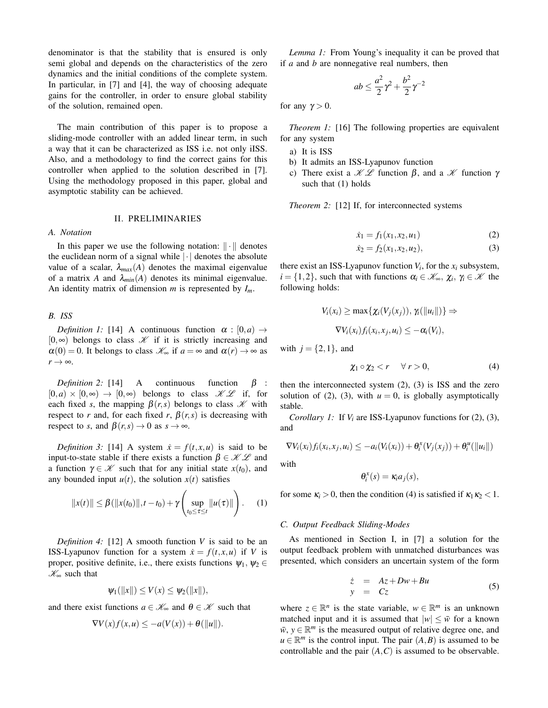denominator is that the stability that is ensured is only semi global and depends on the characteristics of the zero dynamics and the initial conditions of the complete system. In particular, in [7] and [4], the way of choosing adequate gains for the controller, in order to ensure global stability of the solution, remained open.

The main contribution of this paper is to propose a sliding-mode controller with an added linear term, in such a way that it can be characterized as ISS i.e. not only iISS. Also, and a methodology to find the correct gains for this controller when applied to the solution described in [7]. Using the methodology proposed in this paper, global and asymptotic stability can be achieved.

#### II. PRELIMINARIES

#### *A. Notation*

In this paper we use the following notation:  $\|\cdot\|$  denotes the euclidean norm of a signal while  $|\cdot|$  denotes the absolute value of a scalar,  $\lambda_{max}(A)$  denotes the maximal eigenvalue of a matrix *A* and  $\lambda_{min}(A)$  denotes its minimal eigenvalue. An identity matrix of dimension *m* is represented by *Im*.

## *B. ISS*

*Definition 1:* [14] A continuous function  $\alpha$  : [0,*a*]  $\rightarrow$ [0,∞) belongs to class  $K$  if it is strictly increasing and  $\alpha(0) = 0$ . It belongs to class  $\mathcal{K}_{\infty}$  if  $a = \infty$  and  $\alpha(r) \to \infty$  as  $r \rightarrow \infty$ .

*Definition 2:* [14] A continuous function  $\beta$  :  $[0,a] \times [0,\infty) \rightarrow [0,\infty)$  belongs to class  $\mathscr{KL}$  if, for each fixed *s*, the mapping  $\beta(r, s)$  belongs to class  $\mathcal K$  with respect to *r* and, for each fixed *r*,  $\beta(r,s)$  is decreasing with respect to *s*, and  $\beta(r, s) \rightarrow 0$  as  $s \rightarrow \infty$ .

*Definition 3:* [14] A system  $\dot{x} = f(t, x, u)$  is said to be input-to-state stable if there exists a function  $\beta \in \mathcal{KL}$  and a function  $\gamma \in \mathcal{K}$  such that for any initial state  $x(t_0)$ , and any bounded input  $u(t)$ , the solution  $x(t)$  satisfies

$$
||x(t)|| \leq \beta(||x(t_0)||, t - t_0) + \gamma \left(\sup_{t_0 \leq \tau \leq t} ||u(\tau)||\right).
$$
 (1)

*Definition 4:* [12] A smooth function *V* is said to be an ISS-Lyapunov function for a system  $\dot{x} = f(t, x, u)$  if *V* is proper, positive definite, i.e., there exists functions  $\psi_1, \psi_2 \in$  $\mathcal{K}_{\infty}$  such that

$$
\psi_1(||x||) \le V(x) \le \psi_2(||x||),
$$

and there exist functions  $a \in \mathcal{K}_{\infty}$  and  $\theta \in \mathcal{K}$  such that

$$
\nabla V(x)f(x,u) \leq -a(V(x)) + \theta(||u||).
$$

*Lemma 1:* From Young's inequality it can be proved that if *a* and *b* are nonnegative real numbers, then

$$
ab \leq \frac{a^2}{2}\gamma^2 + \frac{b^2}{2}\gamma^{-2}
$$

for any  $\gamma > 0$ .

*Theorem 1:* [16] The following properties are equivalent for any system

- a) It is ISS
- b) It admits an ISS-Lyapunov function
- c) There exist a  $K\mathscr{L}$  function  $\beta$ , and a  $\mathscr{K}$  function  $\gamma$ such that (1) holds

*Theorem 2:* [12] If, for interconnected systems

$$
\dot{x}_1 = f_1(x_1, x_2, u_1) \tag{2}
$$

$$
\dot{x}_2 = f_2(x_1, x_2, u_2),\tag{3}
$$

there exist an ISS-Lyapunov function  $V_i$ , for the  $x_i$  subsystem,  $i = \{1, 2\}$ , such that with functions  $\alpha_i \in \mathcal{K}_{\infty}$ ,  $\chi_i$ ,  $\gamma_i \in \mathcal{K}$  the following holds:

$$
V_i(x_i) \ge \max\{\chi_i(V_j(x_j)), \gamma_i(\|u_i\|)\} \Rightarrow
$$
  

$$
\nabla V_i(x_i) f_i(x_i, x_j, u_i) \le -\alpha_i(V_i),
$$

with  $j = \{2, 1\}$ , and

$$
\chi_1 \circ \chi_2 < r \quad \forall \, r > 0,\tag{4}
$$

then the interconnected system (2), (3) is ISS and the zero solution of (2), (3), with  $u = 0$ , is globally asymptotically stable.

*Corollary 1:* If *V<sup>i</sup>* are ISS-Lyapunov functions for (2), (3), and

$$
\nabla V_i(x_i) f_i(x_i, x_j, u_i) \leq -a_i(V_i(x_i)) + \theta_i^x(V_j(x_j)) + \theta_i^u(\|u_i\|)
$$

with

$$
\theta_i^x(s) = \kappa_i a_j(s),
$$

for some  $\kappa_i > 0$ , then the condition (4) is satisfied if  $\kappa_1 \kappa_2 < 1$ .

## *C. Output Feedback Sliding-Modes*

As mentioned in Section I, in [7] a solution for the output feedback problem with unmatched disturbances was presented, which considers an uncertain system of the form

$$
\dot{z} = Az + Dw + Bu
$$
  
\n
$$
y = Cz
$$
\n(5)

where  $z \in \mathbb{R}^n$  is the state variable,  $w \in \mathbb{R}^m$  is an unknown matched input and it is assumed that  $|w| \leq \bar{w}$  for a known  $\bar{w}$ ,  $y \in \mathbb{R}^m$  is the measured output of relative degree one, and  $u \in \mathbb{R}^m$  is the control input. The pair  $(A, B)$  is assumed to be controllable and the pair (*A*,*C*) is assumed to be observable.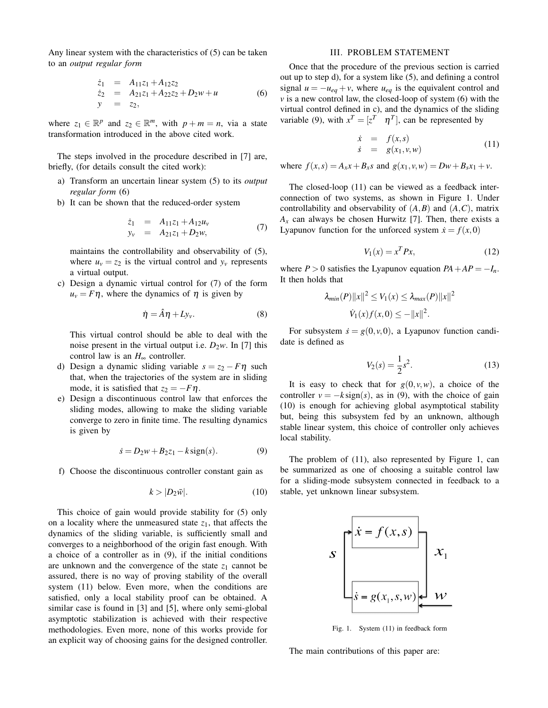Any linear system with the characteristics of (5) can be taken to an *output regular form*

$$
\dot{z}_1 = A_{11}z_1 + A_{12}z_2 \n\dot{z}_2 = A_{21}z_1 + A_{22}z_2 + D_2w + u \ny = z_2,
$$
\n(6)

where  $z_1 \in \mathbb{R}^p$  and  $z_2 \in \mathbb{R}^m$ , with  $p + m = n$ , via a state transformation introduced in the above cited work.

The steps involved in the procedure described in [7] are, briefly, (for details consult the cited work):

- a) Transform an uncertain linear system (5) to its *output regular form* (6)
- b) It can be shown that the reduced-order system

$$
\dot{z}_1 = A_{11}z_1 + A_{12}u_v \n y_v = A_{21}z_1 + D_2w,
$$
\n(7)

maintains the controllability and observability of (5), where  $u_y = z_2$  is the virtual control and  $y_y$  represents a virtual output.

c) Design a dynamic virtual control for (7) of the form  $u_v = F\eta$ , where the dynamics of  $\eta$  is given by

$$
\dot{\eta} = \hat{A}\eta + Ly_v. \tag{8}
$$

This virtual control should be able to deal with the noise present in the virtual output i.e.  $D_2w$ . In [7] this control law is an *H*<sup>∞</sup> controller.

- d) Design a dynamic sliding variable  $s = z_2 F\eta$  such that, when the trajectories of the system are in sliding mode, it is satisfied that  $z_2 = -F\eta$ .
- e) Design a discontinuous control law that enforces the sliding modes, allowing to make the sliding variable converge to zero in finite time. The resulting dynamics is given by

$$
\dot{s} = D_2 w + B_2 z_1 - k \operatorname{sign}(s). \tag{9}
$$

f) Choose the discontinuous controller constant gain as

$$
k > |D_2\bar{w}|. \tag{10}
$$

This choice of gain would provide stability for (5) only on a locality where the unmeasured state  $z_1$ , that affects the dynamics of the sliding variable, is sufficiently small and converges to a neighborhood of the origin fast enough. With a choice of a controller as in (9), if the initial conditions are unknown and the convergence of the state  $z_1$  cannot be assured, there is no way of proving stability of the overall system (11) below. Even more, when the conditions are satisfied, only a local stability proof can be obtained. A similar case is found in [3] and [5], where only semi-global asymptotic stabilization is achieved with their respective methodologies. Even more, none of this works provide for an explicit way of choosing gains for the designed controller.

## III. PROBLEM STATEMENT

Once that the procedure of the previous section is carried out up to step d), for a system like (5), and defining a control signal  $u = -u_{eq} + v$ , where  $u_{eq}$  is the equivalent control and  $\nu$  is a new control law, the closed-loop of system (6) with the virtual control defined in c), and the dynamics of the sliding variable (9), with  $x^T = [z^T \quad \eta^T]$ , can be represented by

$$
\begin{array}{rcl}\n\dot{x} & = & f(x, s) \\
\dot{s} & = & g(x_1, v, w)\n\end{array} \tag{11}
$$

where  $f(x, s) = A_x x + B_x s$  and  $g(x_1, v, w) = Dw + B_x x_1 + v$ .

The closed-loop (11) can be viewed as a feedback interconnection of two systems, as shown in Figure 1. Under controllability and observability of  $(A, B)$  and  $(A, C)$ , matrix  $A<sub>x</sub>$  can always be chosen Hurwitz [7]. Then, there exists a Lyapunov function for the unforced system  $\dot{x} = f(x,0)$ 

$$
V_1(x) = x^T P x,\tag{12}
$$

where  $P > 0$  satisfies the Lyapunov equation  $PA + AP = -I_n$ . It then holds that

$$
\lambda_{min}(P)||x||^2 \le V_1(x) \le \lambda_{max}(P)||x||^2
$$
  

$$
\dot{V}_1(x)f(x,0) \le -||x||^2.
$$

For subsystem  $\dot{s} = g(0, v, 0)$ , a Lyapunov function candidate is defined as

$$
V_2(s) = \frac{1}{2}s^2.
$$
 (13)

It is easy to check that for  $g(0, v, w)$ , a choice of the controller  $v = -k \text{sign}(s)$ , as in (9), with the choice of gain (10) is enough for achieving global asymptotical stability but, being this subsystem fed by an unknown, although stable linear system, this choice of controller only achieves local stability.

The problem of (11), also represented by Figure 1, can be summarized as one of choosing a suitable control law for a sliding-mode subsystem connected in feedback to a stable, yet unknown linear subsystem.



Fig. 1. System (11) in feedback form

The main contributions of this paper are: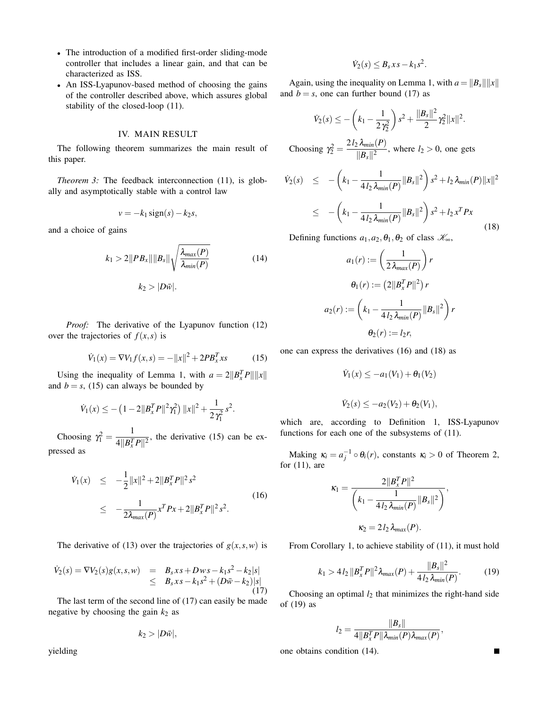- The introduction of a modified first-order sliding-mode controller that includes a linear gain, and that can be characterized as ISS.
- An ISS-Lyapunov-based method of choosing the gains of the controller described above, which assures global stability of the closed-loop (11).

## IV. MAIN RESULT

The following theorem summarizes the main result of this paper.

*Theorem 3:* The feedback interconnection (11), is globally and asymptotically stable with a control law

$$
v = -k_1 \operatorname{sign}(s) - k_2 s,
$$

and a choice of gains

$$
k_1 > 2||P B_x|| ||B_s|| \sqrt{\frac{\lambda_{max}(P)}{\lambda_{min}(P)}}
$$
\n
$$
k_2 > |D\bar{w}|.
$$
\n(14)

*Proof:* The derivative of the Lyapunov function (12) over the trajectories of  $f(x, s)$  is

$$
\dot{V}_1(x) = \nabla V_1 f(x, s) = -\|x\|^2 + 2PB_x^T x s \tag{15}
$$

Using the inequality of Lemma 1, with  $a = 2||B_x^T P|| ||x||$ and  $b = s$ , (15) can always be bounded by

$$
\dot{V}_1(x) \leq -\left(1 - 2\|B_x^T P\|^2 \gamma_1^2\right) \|x\|^2 + \frac{1}{2\gamma_1^2} s^2.
$$

Choosing  $\gamma_1^2 = \frac{1}{4 \ln R^T}$  $\frac{1}{4} \left\| \frac{B_x^T P}{\|} \right\|^2$ , the derivative (15) can be expressed as

$$
\dot{V}_1(x) \leq -\frac{1}{2} ||x||^2 + 2||B_x^T P||^2 s^2
$$
\n
$$
\leq -\frac{1}{2\lambda_{max}(P)} x^T P x + 2||B_x^T P||^2 s^2.
$$
\n(16)

The derivative of (13) over the trajectories of  $g(x, s, w)$  is

$$
\dot{V}_2(s) = \nabla V_2(s)g(x, s, w) = B_s x s + D w s - k_1 s^2 - k_2 |s|
$$
  
\n
$$
\leq B_s x s - k_1 s^2 + (D \bar{w} - k_2)|s|
$$
\n(17)

The last term of the second line of (17) can easily be made negative by choosing the gain  $k_2$  as

$$
k_2 > |D\bar{w}|,
$$

 $\dot{V}_2(s) \leq B_s x s - k_1 s^2$ .

Again, using the inequality on Lemma 1, with  $a = \|B_s\| \|x\|$ and  $b = s$ , one can further bound (17) as

$$
\dot{V}_2(s) \leq -\left(k_1 - \frac{1}{2\gamma_2^2}\right)s^2 + \frac{\|B_s\|^2}{2}\gamma_2^2\|x\|^2.
$$

Choosing  $\gamma_2^2 = \frac{2 l_2 \lambda_{min}(P)}{||R||^2}$  $\frac{g \cdot \text{deg}(\mathbf{r})}{\|\mathbf{B}_s\|^2}$ , where  $l_2 > 0$ , one gets

$$
\dot{V}_2(s) \leq -\left(k_1 - \frac{1}{4 l_2 \lambda_{min}(P)} ||B_s||^2\right) s^2 + l_2 \lambda_{min}(P) ||x||^2
$$
\n
$$
\leq -\left(k_1 - \frac{1}{4 l_2 \lambda_{min}(P)} ||B_s||^2\right) s^2 + l_2 x^T P x \tag{18}
$$

Defining functions  $a_1$ ,  $a_2$ ,  $\theta_1$ ,  $\theta_2$  of class  $\mathcal{K}_{\infty}$ ,

$$
a_1(r) := \left(\frac{1}{2\lambda_{max}(P)}\right)r
$$

$$
\theta_1(r) := \left(2\|B_x^T P\|^2\right)r
$$

$$
a_2(r) := \left(k_1 - \frac{1}{4l_2\lambda_{min}(P)}\|B_s\|^2\right)r
$$

$$
\theta_2(r) := l_2r,
$$

one can express the derivatives (16) and (18) as

$$
\dot{V}_1(x) \le -a_1(V_1) + \theta_1(V_2)
$$

$$
\dot{V}_2(s) \le -a_2(V_2) + \theta_2(V_1),
$$

which are, according to Definition 1, ISS-Lyapunov functions for each one of the subsystems of (11).

Making  $\kappa_i = a_j^{-1} \circ \theta_i(r)$ , constants  $\kappa_i > 0$  of Theorem 2, for  $(11)$ , are

$$
\kappa_1 = \frac{2\|B_x^T P\|^2}{\left(k_1 - \frac{1}{4l_2\lambda_{min}(P)}\|B_s\|^2\right)},
$$

$$
\kappa_2 = 2l_2\lambda_{max}(P).
$$

From Corollary 1, to achieve stability of (11), it must hold

$$
k_1 > 4 l_2 \|B_x^T P\|^2 \lambda_{max}(P) + \frac{\|B_s\|^2}{4 l_2 \lambda_{min}(P)}.
$$
 (19)

Choosing an optimal  $l_2$  that minimizes the right-hand side of (19) as

$$
l_2 = \frac{||B_s||}{4||B_x^T P||\lambda_{min}(P)\lambda_{max}(P)},
$$

one obtains condition (14).

yielding

 $\blacksquare$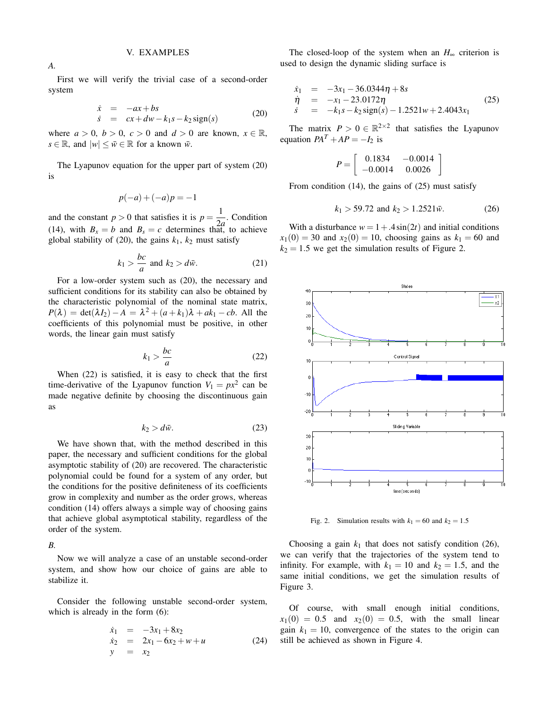*A.*

First we will verify the trivial case of a second-order system

$$
\dot{x} = -ax + bs \n\dot{s} = cx + dw - k_1s - k_2 \text{sign}(s)
$$
\n(20)

where  $a > 0$ ,  $b > 0$ ,  $c > 0$  and  $d > 0$  are known,  $x \in \mathbb{R}$ , *s* ∈ ℝ, and  $|w|$  ≤  $\overline{w}$  ∈ ℝ for a known  $\overline{w}$ .

The Lyapunov equation for the upper part of system (20) is

$$
p(-a) + (-a)p = -1
$$

and the constant  $p > 0$  that satisfies it is  $p = \frac{1}{2}$  $\frac{1}{2a}$ . Condition (14), with  $B_x = b$  and  $B_s = c$  determines that, to achieve global stability of (20), the gains  $k_1$ ,  $k_2$  must satisfy

$$
k_1 > \frac{bc}{a} \text{ and } k_2 > d\bar{w}.\tag{21}
$$

For a low-order system such as (20), the necessary and sufficient conditions for its stability can also be obtained by the characteristic polynomial of the nominal state matrix,  $P(\lambda) = \det(\lambda I_2) - A = \lambda^2 + (a + k_1)\lambda + ak_1 - cb$ . All the coefficients of this polynomial must be positive, in other words, the linear gain must satisfy

$$
k_1 > \frac{bc}{a} \tag{22}
$$

When (22) is satisfied, it is easy to check that the first time-derivative of the Lyapunov function  $V_1 = px^2$  can be made negative definite by choosing the discontinuous gain as

$$
k_2 > d\bar{w}.\tag{23}
$$

We have shown that, with the method described in this paper, the necessary and sufficient conditions for the global asymptotic stability of (20) are recovered. The characteristic polynomial could be found for a system of any order, but the conditions for the positive definiteness of its coefficients grow in complexity and number as the order grows, whereas condition (14) offers always a simple way of choosing gains that achieve global asymptotical stability, regardless of the order of the system.

*B.*

Now we will analyze a case of an unstable second-order system, and show how our choice of gains are able to stabilize it.

Consider the following unstable second-order system, which is already in the form  $(6)$ :

$$
\dot{x}_1 = -3x_1 + 8x_2 \n\dot{x}_2 = 2x_1 - 6x_2 + w + u \n y = x_2
$$
\n(24)

The closed-loop of the system when an  $H_{\infty}$  criterion is used to design the dynamic sliding surface is

$$
\dot{x}_1 = -3x_1 - 36.0344\eta + 8s
$$
\n
$$
\dot{\eta} = -x_1 - 23.0172\eta
$$
\n
$$
\dot{s} = -k_1s - k_2 \text{sign}(s) - 1.2521w + 2.4043x_1
$$
\n(25)

The matrix  $P > 0 \in \mathbb{R}^{2 \times 2}$  that satisfies the Lyapunov equation  $PA^T + AP = -I_2$  is

$$
P = \left[ \begin{array}{cc} 0.1834 & -0.0014 \\ -0.0014 & 0.0026 \end{array} \right]
$$

From condition (14), the gains of (25) must satisfy

$$
k_1 > 59.72
$$
 and  $k_2 > 1.2521\bar{w}$ . (26)

With a disturbance  $w = 1 + .4 \sin(2t)$  and initial conditions  $x_1(0) = 30$  and  $x_2(0) = 10$ , choosing gains as  $k_1 = 60$  and  $k_2 = 1.5$  we get the simulation results of Figure 2.



Fig. 2. Simulation results with  $k_1 = 60$  and  $k_2 = 1.5$ 

Choosing a gain  $k_1$  that does not satisfy condition (26), we can verify that the trajectories of the system tend to infinity. For example, with  $k_1 = 10$  and  $k_2 = 1.5$ , and the same initial conditions, we get the simulation results of Figure 3.

Of course, with small enough initial conditions,  $x_1(0) = 0.5$  and  $x_2(0) = 0.5$ , with the small linear gain  $k_1 = 10$ , convergence of the states to the origin can still be achieved as shown in Figure 4.